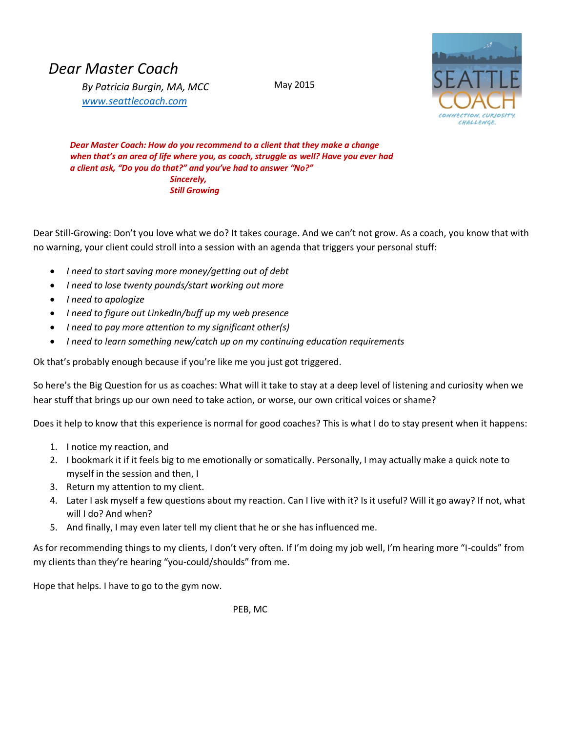## *Dear Master Coach*

*By Patricia Burgin, MA, MCC [www.seattlecoach.com](http://www.seattlecoach.com/)*

May 2015



*Dear Master Coach: How do you recommend to a client that they make a change when that's an area of life where you, as coach, struggle as well? Have you ever had a client ask, "Do you do that?" and you've had to answer "No?" Sincerely, Still Growing*

Dear Still-Growing: Don't you love what we do? It takes courage. And we can't not grow. As a coach, you know that with no warning, your client could stroll into a session with an agenda that triggers your personal stuff:

- *I need to start saving more money/getting out of debt*
- *I need to lose twenty pounds/start working out more*
- *I need to apologize*
- *I need to figure out LinkedIn/buff up my web presence*
- *I need to pay more attention to my significant other(s)*
- *I need to learn something new/catch up on my continuing education requirements*

Ok that's probably enough because if you're like me you just got triggered.

So here's the Big Question for us as coaches: What will it take to stay at a deep level of listening and curiosity when we hear stuff that brings up our own need to take action, or worse, our own critical voices or shame?

Does it help to know that this experience is normal for good coaches? This is what I do to stay present when it happens:

- 1. I notice my reaction, and
- 2. I bookmark it if it feels big to me emotionally or somatically. Personally, I may actually make a quick note to myself in the session and then, I
- 3. Return my attention to my client.
- 4. Later I ask myself a few questions about my reaction. Can I live with it? Is it useful? Will it go away? If not, what will I do? And when?
- 5. And finally, I may even later tell my client that he or she has influenced me.

As for recommending things to my clients, I don't very often. If I'm doing my job well, I'm hearing more "I-coulds" from my clients than they're hearing "you-could/shoulds" from me.

Hope that helps. I have to go to the gym now.

PEB, MC